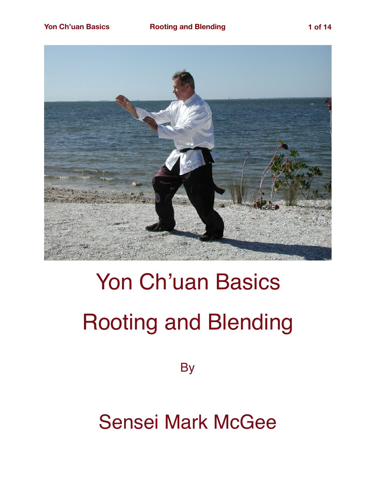

## Yon Ch'uan Basics Rooting and Blending

**By** 

Sensei Mark McGee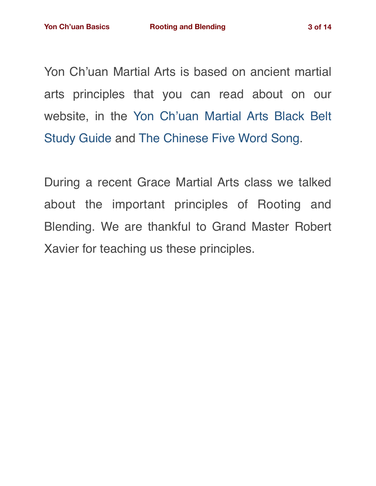Yon Ch'uan Martial Arts is based on ancient martial arts principles that you can read about on our website, in the [Yon Ch'uan Martial Arts Black Belt](https://gracemartialarts.files.wordpress.com/2021/06/gma-black-belt-study-guide-2021-final.pdf) [Study Guide](https://gracemartialarts.files.wordpress.com/2021/06/gma-black-belt-study-guide-2021-final.pdf) and [The Chinese Five Word Song](https://www.amazon.com/Chinese-Five-Word-Song/dp/0974633607/ref=sr_1_1_twi_pap_2?ie=UTF8&qid=1541698152&sr=8-1&keywords=the+Chinese+five+word+song).

During a recent Grace Martial Arts class we talked about the important principles of Rooting and Blending. We are thankful to Grand Master Robert Xavier for teaching us these principles.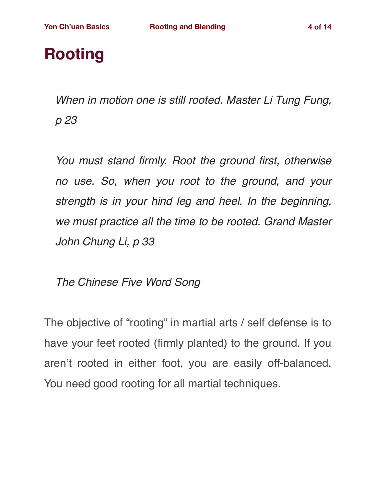## **Rooting**

*When in motion one is still rooted. Master Li Tung Fung, p 23*

*You must stand firmly. Root the ground first, otherwise no use. So, when you root to the ground, and your strength is in your hind leg and heel. In the beginning, we must practice all the time to be rooted. Grand Master John Chung Li, p 33*

*The Chinese Five Word Song*

The objective of "rooting" in martial arts / self defense is to have your feet rooted (firmly planted) to the ground. If you aren't rooted in either foot, you are easily off-balanced. You need good rooting for all martial techniques.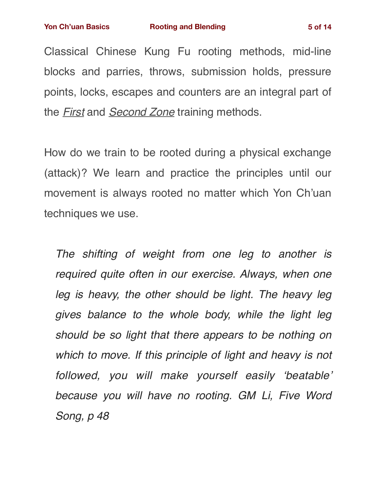Classical Chinese Kung Fu rooting methods, mid-line blocks and parries, throws, submission holds, pressure points, locks, escapes and counters are an integral part of the *First* and *Second Zone* training methods.

How do we train to be rooted during a physical exchange (attack)? We learn and practice the principles until our movement is always rooted no matter which Yon Ch'uan techniques we use.

*The shifting of weight from one leg to another is required quite often in our exercise. Always, when one*  leg is heavy, the other should be light. The heavy leg *gives balance to the whole body, while the light leg should be so light that there appears to be nothing on which to move. If this principle of light and heavy is not followed, you will make yourself easily 'beatable' because you will have no rooting. GM Li, Five Word Song, p 48*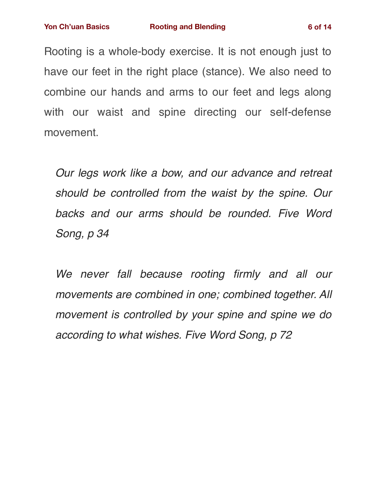Rooting is a whole-body exercise. It is not enough just to have our feet in the right place (stance). We also need to combine our hands and arms to our feet and legs along with our waist and spine directing our self-defense movement.

*Our legs work like a bow, and our advance and retreat should be controlled from the waist by the spine. Our backs and our arms should be rounded. Five Word Song, p 34*

*We never fall because rooting firmly and all our movements are combined in one; combined together. All movement is controlled by your spine and spine we do according to what wishes. Five Word Song, p 72*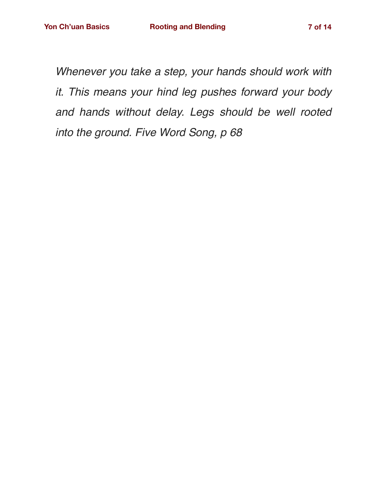*Whenever you take a step, your hands should work with it. This means your hind leg pushes forward your body and hands without delay. Legs should be well rooted into the ground. Five Word Song, p 68*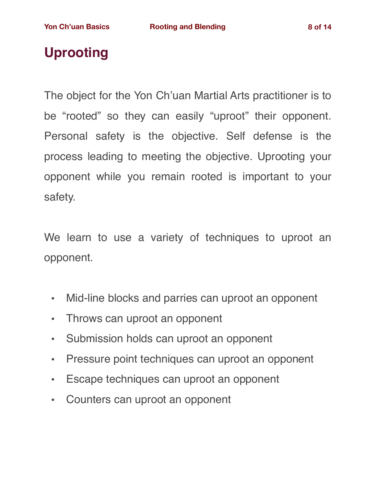## **Uprooting**

The object for the Yon Ch'uan Martial Arts practitioner is to be "rooted" so they can easily "uproot" their opponent. Personal safety is the objective. Self defense is the process leading to meeting the objective. Uprooting your opponent while you remain rooted is important to your safety.

We learn to use a variety of techniques to uproot an opponent.

- Mid-line blocks and parries can uproot an opponent
- Throws can uproot an opponent
- Submission holds can uproot an opponent
- Pressure point techniques can uproot an opponent
- Escape techniques can uproot an opponent
- Counters can uproot an opponent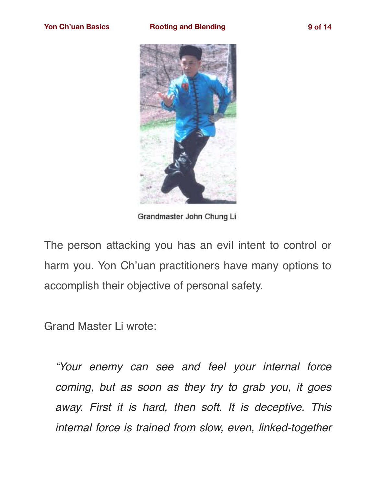

Grandmaster John Chung Li

The person attacking you has an evil intent to control or harm you. Yon Ch'uan practitioners have many options to accomplish their objective of personal safety.

Grand Master Li wrote:

*"Your enemy can see and feel your internal force coming, but as soon as they try to grab you, it goes away. First it is hard, then soft. It is deceptive. This internal force is trained from slow, even, linked-together*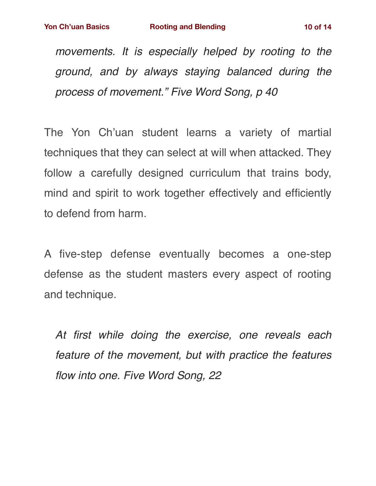*movements. It is especially helped by rooting to the ground, and by always staying balanced during the process of movement." Five Word Song, p 40*

The Yon Ch'uan student learns a variety of martial techniques that they can select at will when attacked. They follow a carefully designed curriculum that trains body, mind and spirit to work together effectively and efficiently to defend from harm.

A five-step defense eventually becomes a one-step defense as the student masters every aspect of rooting and technique.

*At first while doing the exercise, one reveals each feature of the movement, but with practice the features flow into one. Five Word Song, 22*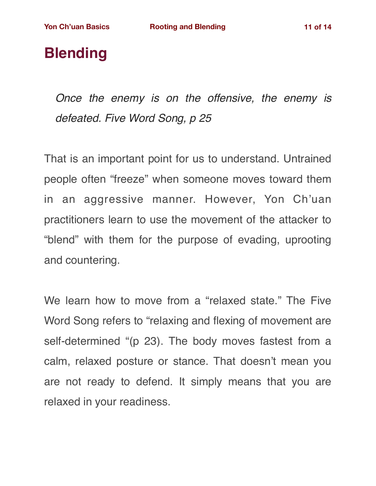## **Blending**

*Once the enemy is on the offensive, the enemy is defeated. Five Word Song, p 25*

That is an important point for us to understand. Untrained people often "freeze" when someone moves toward them in an aggressive manner. However, Yon Ch'uan practitioners learn to use the movement of the attacker to "blend" with them for the purpose of evading, uprooting and countering.

We learn how to move from a "relaxed state." The Five Word Song refers to "relaxing and flexing of movement are self-determined "(p 23). The body moves fastest from a calm, relaxed posture or stance. That doesn't mean you are not ready to defend. It simply means that you are relaxed in your readiness.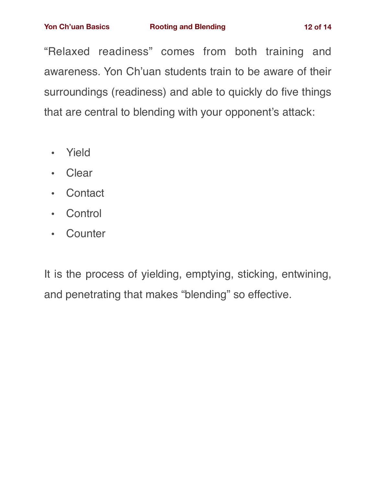"Relaxed readiness" comes from both training and awareness. Yon Ch'uan students train to be aware of their surroundings (readiness) and able to quickly do five things that are central to blending with your opponent's attack:

- Yield
- Clear
- Contact
- Control
- Counter

It is the process of yielding, emptying, sticking, entwining, and penetrating that makes "blending" so effective.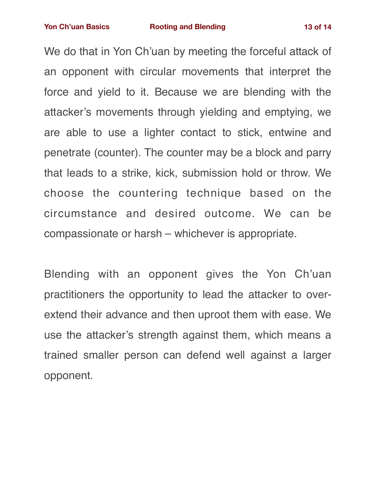We do that in Yon Ch'uan by meeting the forceful attack of an opponent with circular movements that interpret the force and yield to it. Because we are blending with the attacker's movements through yielding and emptying, we are able to use a lighter contact to stick, entwine and penetrate (counter). The counter may be a block and parry that leads to a strike, kick, submission hold or throw. We choose the countering technique based on the circumstance and desired outcome. We can be compassionate or harsh – whichever is appropriate.

Blending with an opponent gives the Yon Ch'uan practitioners the opportunity to lead the attacker to overextend their advance and then uproot them with ease. We use the attacker's strength against them, which means a trained smaller person can defend well against a larger opponent.